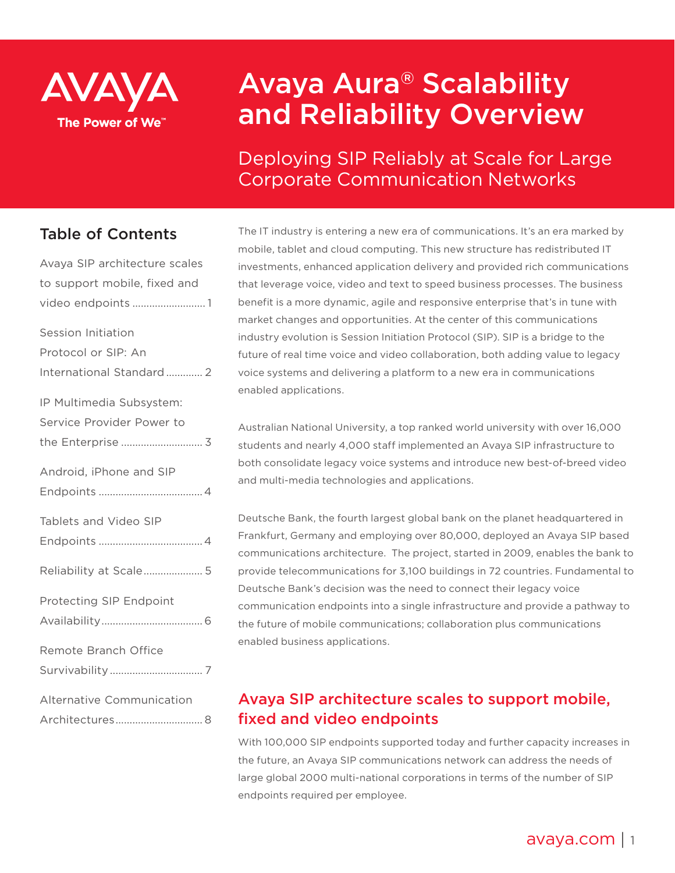

# Avaya Aura® Scalability and Reliability Overview

Deploying SIP Reliably at Scale for Large Corporate Communication Networks

## Table of Contents

| Avaya SIP architecture scales |
|-------------------------------|
| to support mobile, fixed and  |
| video endpoints 1             |
| Session Initiation            |
| Protocol or SIP: An           |
| International Standard  2     |
| IP Multimedia Subsystem:      |
| Service Provider Power to     |
| the Enterprise  3             |
| Android, iPhone and SIP       |
|                               |
| Tablets and Video SIP         |
|                               |
| Reliability at Scale 5        |
| Protecting SIP Endpoint       |
|                               |
| Remote Branch Office          |
|                               |
| Alternative Communication     |
| Architectures 8               |

The IT industry is entering a new era of communications. It's an era marked by mobile, tablet and cloud computing. This new structure has redistributed IT investments, enhanced application delivery and provided rich communications that leverage voice, video and text to speed business processes. The business benefit is a more dynamic, agile and responsive enterprise that's in tune with market changes and opportunities. At the center of this communications industry evolution is Session Initiation Protocol (SIP). SIP is a bridge to the future of real time voice and video collaboration, both adding value to legacy voice systems and delivering a platform to a new era in communications enabled applications.

Australian National University, a top ranked world university with over 16,000 students and nearly 4,000 staff implemented an Avaya SIP infrastructure to both consolidate legacy voice systems and introduce new best-of-breed video and multi-media technologies and applications.

Deutsche Bank, the fourth largest global bank on the planet headquartered in Frankfurt, Germany and employing over 80,000, deployed an Avaya SIP based communications architecture. The project, started in 2009, enables the bank to provide telecommunications for 3,100 buildings in 72 countries. Fundamental to Deutsche Bank's decision was the need to connect their legacy voice communication endpoints into a single infrastructure and provide a pathway to the future of mobile communications; collaboration plus communications enabled business applications.

# Avaya SIP architecture scales to support mobile, fixed and video endpoints

With 100,000 SIP endpoints supported today and further capacity increases in the future, an Avaya SIP communications network can address the needs of large global 2000 multi-national corporations in terms of the number of SIP endpoints required per employee.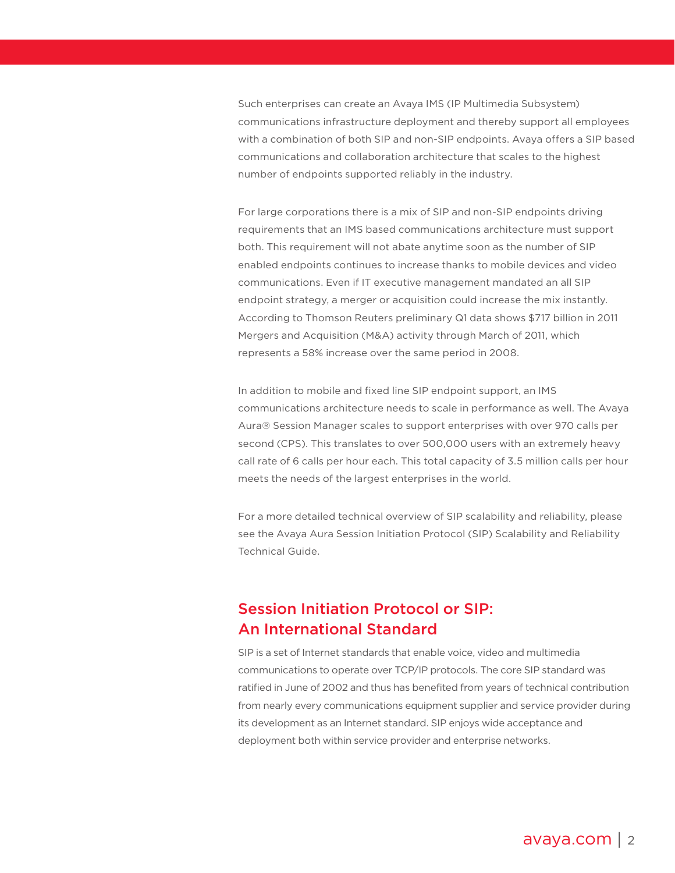<span id="page-1-0"></span>Such enterprises can create an Avaya IMS (IP Multimedia Subsystem) communications infrastructure deployment and thereby support all employees with a combination of both SIP and non-SIP endpoints. Avaya offers a SIP based communications and collaboration architecture that scales to the highest number of endpoints supported reliably in the industry.

For large corporations there is a mix of SIP and non-SIP endpoints driving requirements that an IMS based communications architecture must support both. This requirement will not abate anytime soon as the number of SIP enabled endpoints continues to increase thanks to mobile devices and video communications. Even if IT executive management mandated an all SIP endpoint strategy, a merger or acquisition could increase the mix instantly. According to Thomson Reuters preliminary Q1 data shows \$717 billion in 2011 Mergers and Acquisition (M&A) activity through March of 2011, which represents a 58% increase over the same period in 2008.

In addition to mobile and fixed line SIP endpoint support, an IMS communications architecture needs to scale in performance as well. The Avaya Aura® Session Manager scales to support enterprises with over 970 calls per second (CPS). This translates to over 500,000 users with an extremely heavy call rate of 6 calls per hour each. This total capacity of 3.5 million calls per hour meets the needs of the largest enterprises in the world.

For a more detailed technical overview of SIP scalability and reliability, please see the Avaya Aura Session Initiation Protocol (SIP) Scalability and Reliability Technical Guide.

## Session Initiation Protocol or SIP: An International Standard

SIP is a set of Internet standards that enable voice, video and multimedia communications to operate over TCP/IP protocols. The core SIP standard was ratified in June of 2002 and thus has benefited from years of technical contribution from nearly every communications equipment supplier and service provider during its development as an Internet standard. SIP enjoys wide acceptance and deployment both within service provider and enterprise networks.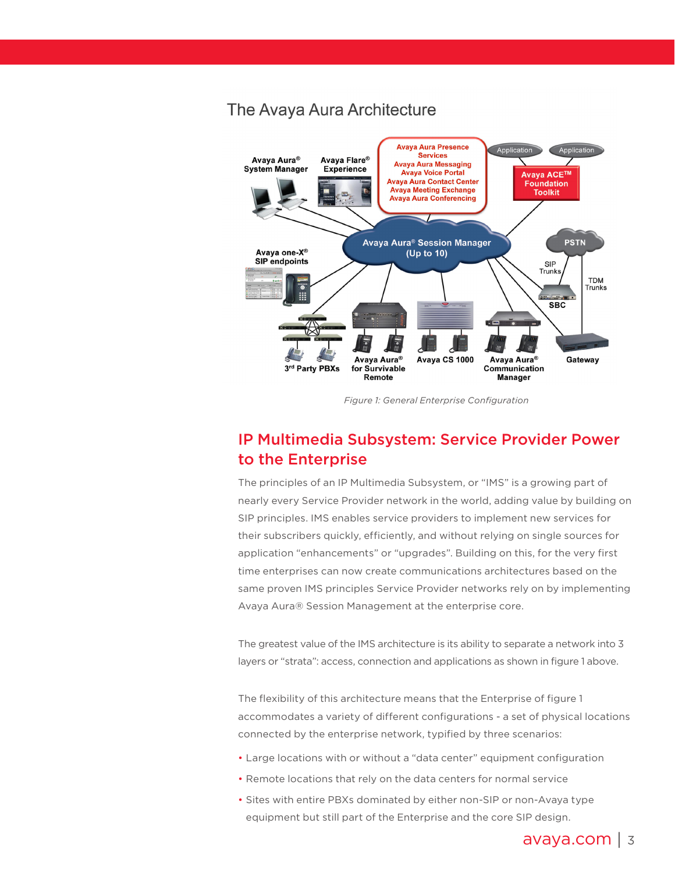## <span id="page-2-0"></span>The Avaya Aura Architecture



*Figure 1: General Enterprise Configuration*

## IP Multimedia Subsystem: Service Provider Power to the Enterprise

The principles of an IP Multimedia Subsystem, or "IMS" is a growing part of nearly every Service Provider network in the world, adding value by building on SIP principles. IMS enables service providers to implement new services for their subscribers quickly, efficiently, and without relying on single sources for application "enhancements" or "upgrades". Building on this, for the very first time enterprises can now create communications architectures based on the same proven IMS principles Service Provider networks rely on by implementing Avaya Aura® Session Management at the enterprise core.

The greatest value of the IMS architecture is its ability to separate a network into 3 layers or "strata": access, connection and applications as shown in figure 1 above.

The flexibility of this architecture means that the Enterprise of figure 1 accommodates a variety of different configurations - a set of physical locations connected by the enterprise network, typified by three scenarios:

- Large locations with or without a "data center" equipment configuration
- Remote locations that rely on the data centers for normal service
- Sites with entire PBXs dominated by either non-SIP or non-Avaya type equipment but still part of the Enterprise and the core SIP design.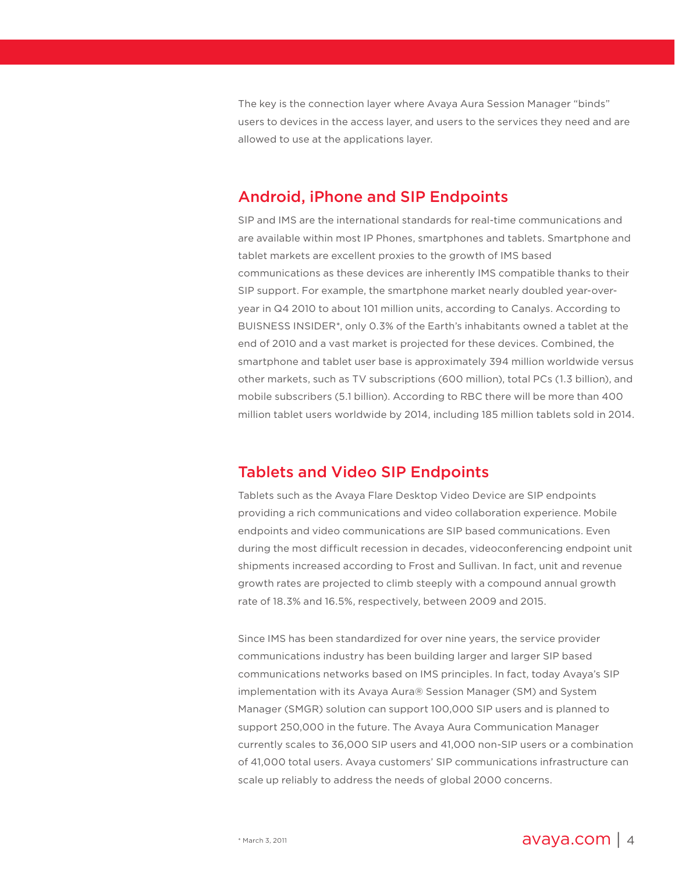<span id="page-3-0"></span>The key is the connection layer where Avaya Aura Session Manager "binds" users to devices in the access layer, and users to the services they need and are allowed to use at the applications layer.

#### Android, iPhone and SIP Endpoints

SIP and IMS are the international standards for real-time communications and are available within most IP Phones, smartphones and tablets. Smartphone and tablet markets are excellent proxies to the growth of IMS based communications as these devices are inherently IMS compatible thanks to their SIP support. For example, the smartphone market nearly doubled year-overyear in Q4 2010 to about 101 million units, according to Canalys. According to BUISNESS INSIDER\*, only 0.3% of the Earth's inhabitants owned a tablet at the end of 2010 and a vast market is projected for these devices. Combined, the smartphone and tablet user base is approximately 394 million worldwide versus other markets, such as TV subscriptions (600 million), total PCs (1.3 billion), and mobile subscribers (5.1 billion). According to RBC there will be more than 400 million tablet users worldwide by 2014, including 185 million tablets sold in 2014.

#### Tablets and Video SIP Endpoints

Tablets such as the Avaya Flare Desktop Video Device are SIP endpoints providing a rich communications and video collaboration experience. Mobile endpoints and video communications are SIP based communications. Even during the most difficult recession in decades, videoconferencing endpoint unit shipments increased according to Frost and Sullivan. In fact, unit and revenue growth rates are projected to climb steeply with a compound annual growth rate of 18.3% and 16.5%, respectively, between 2009 and 2015.

Since IMS has been standardized for over nine years, the service provider communications industry has been building larger and larger SIP based communications networks based on IMS principles. In fact, today Avaya's SIP implementation with its Avaya Aura® Session Manager (SM) and System Manager (SMGR) solution can support 100,000 SIP users and is planned to support 250,000 in the future. The Avaya Aura Communication Manager currently scales to 36,000 SIP users and 41,000 non-SIP users or a combination of 41,000 total users. Avaya customers' SIP communications infrastructure can scale up reliably to address the needs of global 2000 concerns.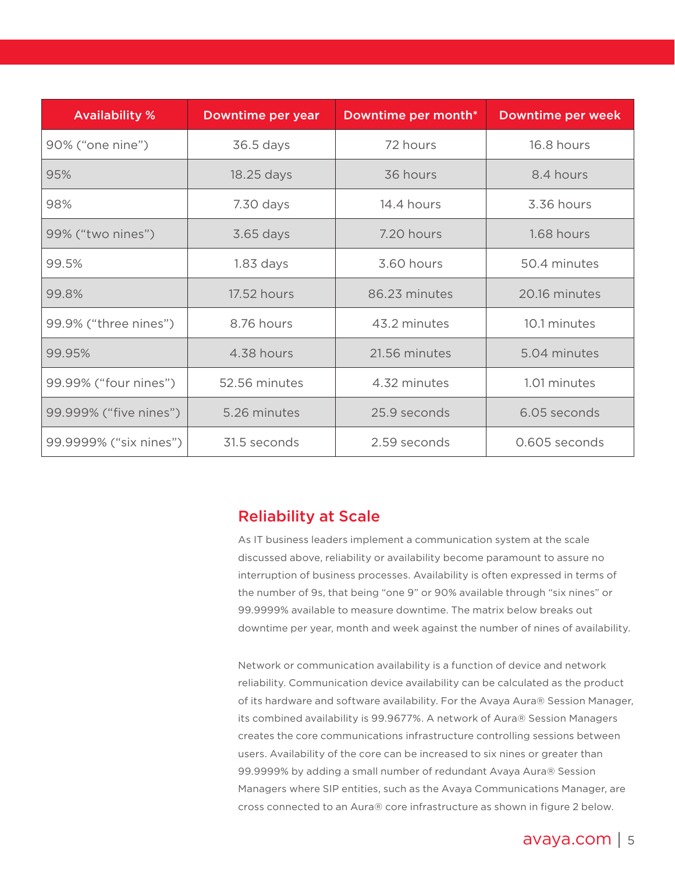<span id="page-4-0"></span>

| <b>Availability %</b>  | Downtime per year | Downtime per month* | Downtime per week |
|------------------------|-------------------|---------------------|-------------------|
| 90% ("one nine")       | 36.5 days         | 72 hours            | 16.8 hours        |
| 95%                    | 18.25 days        | 36 hours            | 8.4 hours         |
| 98%                    | 7.30 days         | 14.4 hours          | 3.36 hours        |
| 99% ("two nines")      | 3.65 days         | 7.20 hours          | 1.68 hours        |
| 99.5%                  | $1.83$ days       | 3.60 hours          | 50.4 minutes      |
| 99.8%                  | 17.52 hours       | 86.23 minutes       | 20.16 minutes     |
| 99.9% ("three nines")  | 8.76 hours        | 43.2 minutes        | 10.1 minutes      |
| 99.95%                 | 4.38 hours        | 21.56 minutes       | 5.04 minutes      |
| 99.99% ("four nines")  | 52.56 minutes     | 4.32 minutes        | 1.01 minutes      |
| 99.999% ("five nines") | 5.26 minutes      | 25.9 seconds        | 6.05 seconds      |
| 99.9999% ("six nines") | 31.5 seconds      | 2.59 seconds        | 0.605 seconds     |

#### Reliability at Scale

As IT business leaders implement a communication system at the scale discussed above, reliability or availability become paramount to assure no interruption of business processes. Availability is often expressed in terms of the number of 9s, that being "one 9" or 90% available through "six nines" or 99.9999% available to measure downtime. The matrix below breaks out downtime per year, month and week against the number of nines of availability.

Network or communication availability is a function of device and network reliability. Communication device availability can be calculated as the product of its hardware and software availability. For the Avaya Aura® Session Manager, its combined availability is 99.9677%. A network of Aura® Session Managers creates the core communications infrastructure controlling sessions between users. Availability of the core can be increased to six nines or greater than 99.9999% by adding a small number of redundant Avaya Aura® Session Managers where SIP entities, such as the Avaya Communications Manager, are cross connected to an Aura® core infrastructure as shown in figure 2 below.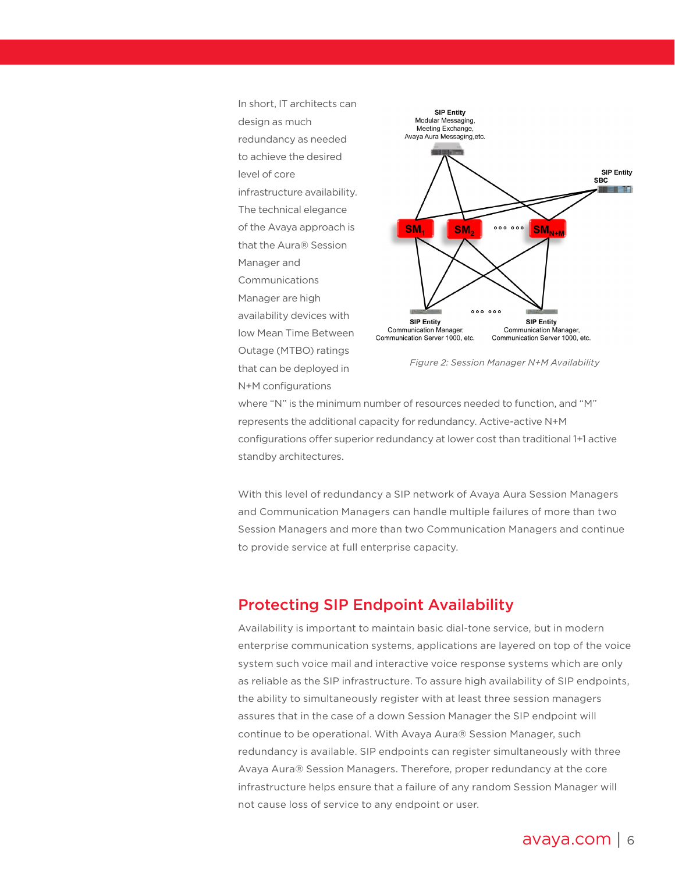<span id="page-5-0"></span>

where "N" is the minimum number of resources needed to function, and "M" represents the additional capacity for redundancy. Active-active N+M configurations offer superior redundancy at lower cost than traditional 1+1 active standby architectures.

With this level of redundancy a SIP network of Avaya Aura Session Managers and Communication Managers can handle multiple failures of more than two Session Managers and more than two Communication Managers and continue to provide service at full enterprise capacity.

#### Protecting SIP Endpoint Availability

Availability is important to maintain basic dial-tone service, but in modern enterprise communication systems, applications are layered on top of the voice system such voice mail and interactive voice response systems which are only as reliable as the SIP infrastructure. To assure high availability of SIP endpoints, the ability to simultaneously register with at least three session managers assures that in the case of a down Session Manager the SIP endpoint will continue to be operational. With Avaya Aura® Session Manager, such redundancy is available. SIP endpoints can register simultaneously with three Avaya Aura® Session Managers. Therefore, proper redundancy at the core infrastructure helps ensure that a failure of any random Session Manager will not cause loss of service to any endpoint or user.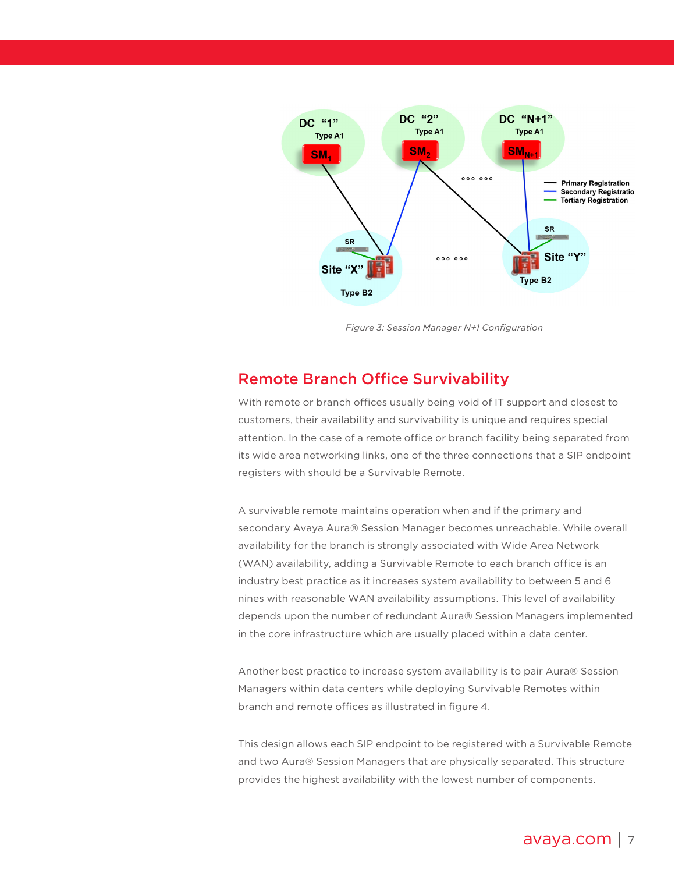<span id="page-6-0"></span>

*Figure 3: Session Manager N+1 Configuration*

## Remote Branch Office Survivability

With remote or branch offices usually being void of IT support and closest to customers, their availability and survivability is unique and requires special attention. In the case of a remote office or branch facility being separated from its wide area networking links, one of the three connections that a SIP endpoint registers with should be a Survivable Remote.

A survivable remote maintains operation when and if the primary and secondary Avaya Aura® Session Manager becomes unreachable. While overall availability for the branch is strongly associated with Wide Area Network (WAN) availability, adding a Survivable Remote to each branch office is an industry best practice as it increases system availability to between 5 and 6 nines with reasonable WAN availability assumptions. This level of availability depends upon the number of redundant Aura® Session Managers implemented in the core infrastructure which are usually placed within a data center.

Another best practice to increase system availability is to pair Aura® Session Managers within data centers while deploying Survivable Remotes within branch and remote offices as illustrated in figure 4.

This design allows each SIP endpoint to be registered with a Survivable Remote and two Aura® Session Managers that are physically separated. This structure provides the highest availability with the lowest number of components.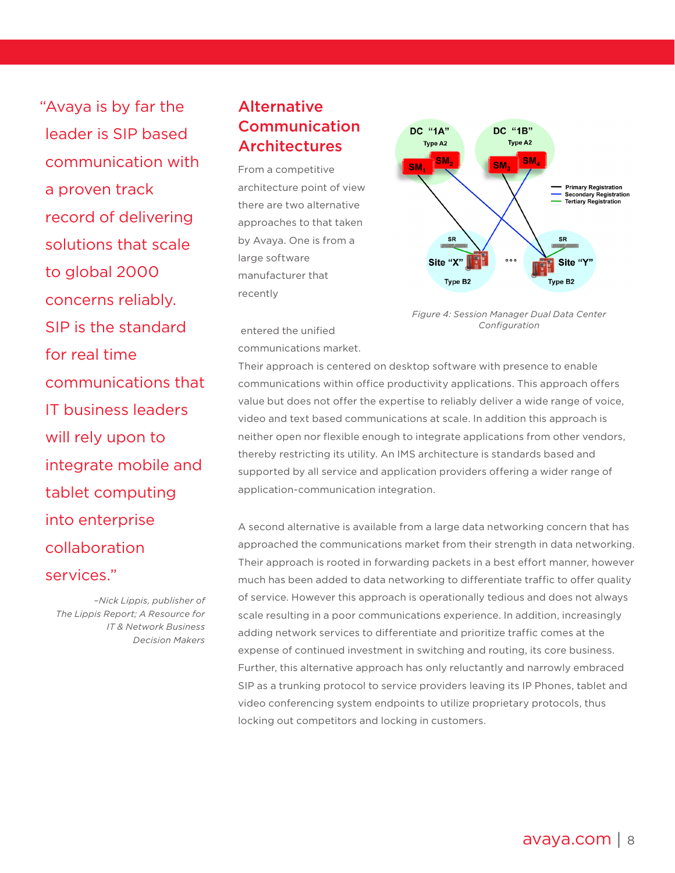<span id="page-7-0"></span>"Avaya is by far the leader is SIP based communication with a proven track record of delivering solutions that scale to global 2000 concerns reliably. SIP is the standard for real time communications that IT business leaders will rely upon to integrate mobile and tablet computing into enterprise collaboration services."

*–Nick Lippis, publisher of The Lippis Report; A Resource for IT & Network Business Decision Makers*

## **Alternative** Communication Architectures

From a competitive architecture point of view there are two alternative approaches to that taken by Avaya. One is from a large software manufacturer that recently



*Figure 4: Session Manager Dual Data Center Configuration*

 entered the unified communications market.

Their approach is centered on desktop software with presence to enable communications within office productivity applications. This approach offers value but does not offer the expertise to reliably deliver a wide range of voice, video and text based communications at scale. In addition this approach is neither open nor flexible enough to integrate applications from other vendors, thereby restricting its utility. An IMS architecture is standards based and supported by all service and application providers offering a wider range of application-communication integration.

A second alternative is available from a large data networking concern that has approached the communications market from their strength in data networking. Their approach is rooted in forwarding packets in a best effort manner, however much has been added to data networking to differentiate traffic to offer quality of service. However this approach is operationally tedious and does not always scale resulting in a poor communications experience. In addition, increasingly adding network services to differentiate and prioritize traffic comes at the expense of continued investment in switching and routing, its core business. Further, this alternative approach has only reluctantly and narrowly embraced SIP as a trunking protocol to service providers leaving its IP Phones, tablet and video conferencing system endpoints to utilize proprietary protocols, thus locking out competitors and locking in customers.